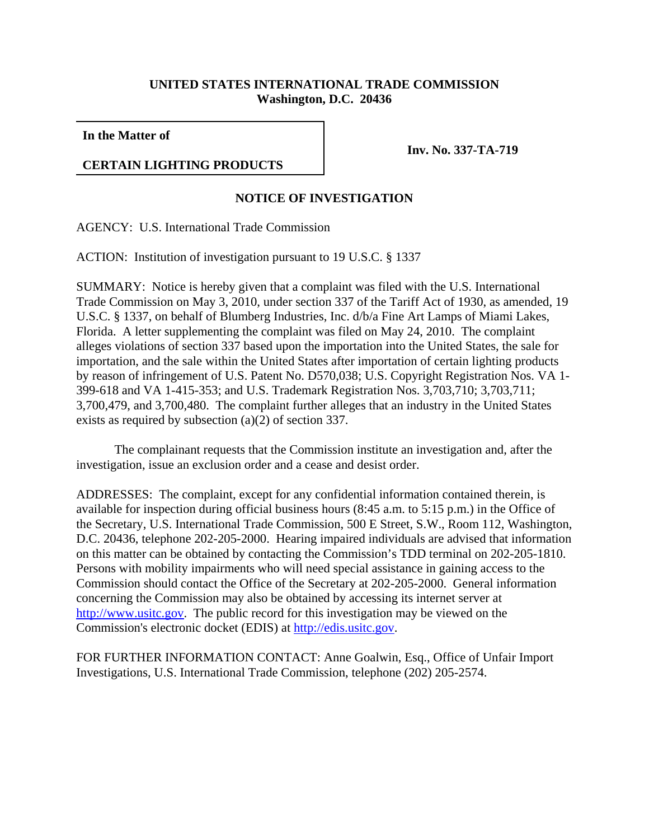## **UNITED STATES INTERNATIONAL TRADE COMMISSION Washington, D.C. 20436**

**In the Matter of**

## **CERTAIN LIGHTING PRODUCTS**

 **Inv. No. 337-TA-719**

## **NOTICE OF INVESTIGATION**

AGENCY: U.S. International Trade Commission

ACTION: Institution of investigation pursuant to 19 U.S.C. § 1337

SUMMARY: Notice is hereby given that a complaint was filed with the U.S. International Trade Commission on May 3, 2010, under section 337 of the Tariff Act of 1930, as amended, 19 U.S.C. § 1337, on behalf of Blumberg Industries, Inc. d/b/a Fine Art Lamps of Miami Lakes, Florida. A letter supplementing the complaint was filed on May 24, 2010. The complaint alleges violations of section 337 based upon the importation into the United States, the sale for importation, and the sale within the United States after importation of certain lighting products by reason of infringement of U.S. Patent No. D570,038; U.S. Copyright Registration Nos. VA 1- 399-618 and VA 1-415-353; and U.S. Trademark Registration Nos. 3,703,710; 3,703,711; 3,700,479, and 3,700,480. The complaint further alleges that an industry in the United States exists as required by subsection (a)(2) of section 337.

The complainant requests that the Commission institute an investigation and, after the investigation, issue an exclusion order and a cease and desist order.

ADDRESSES: The complaint, except for any confidential information contained therein, is available for inspection during official business hours (8:45 a.m. to 5:15 p.m.) in the Office of the Secretary, U.S. International Trade Commission, 500 E Street, S.W., Room 112, Washington, D.C. 20436, telephone 202-205-2000. Hearing impaired individuals are advised that information on this matter can be obtained by contacting the Commission's TDD terminal on 202-205-1810. Persons with mobility impairments who will need special assistance in gaining access to the Commission should contact the Office of the Secretary at 202-205-2000. General information concerning the Commission may also be obtained by accessing its internet server at http://www.usitc.gov. The public record for this investigation may be viewed on the Commission's electronic docket (EDIS) at http://edis.usitc.gov.

FOR FURTHER INFORMATION CONTACT: Anne Goalwin, Esq., Office of Unfair Import Investigations, U.S. International Trade Commission, telephone (202) 205-2574.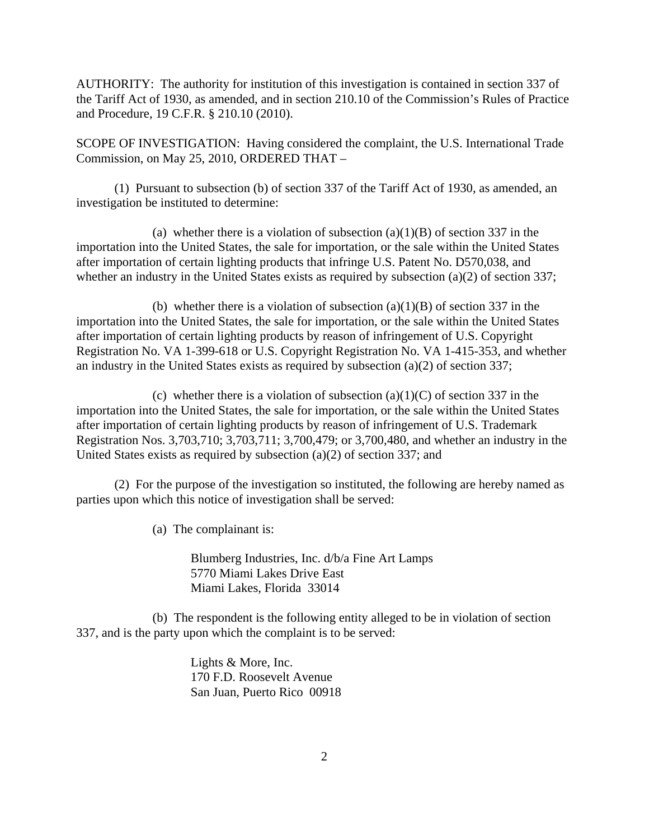AUTHORITY: The authority for institution of this investigation is contained in section 337 of the Tariff Act of 1930, as amended, and in section 210.10 of the Commission's Rules of Practice and Procedure, 19 C.F.R. § 210.10 (2010).

SCOPE OF INVESTIGATION: Having considered the complaint, the U.S. International Trade Commission, on May 25, 2010, ORDERED THAT –

(1) Pursuant to subsection (b) of section 337 of the Tariff Act of 1930, as amended, an investigation be instituted to determine:

(a) whether there is a violation of subsection  $(a)(1)(B)$  of section 337 in the importation into the United States, the sale for importation, or the sale within the United States after importation of certain lighting products that infringe U.S. Patent No. D570,038, and whether an industry in the United States exists as required by subsection (a)(2) of section 337;

(b) whether there is a violation of subsection  $(a)(1)(B)$  of section 337 in the importation into the United States, the sale for importation, or the sale within the United States after importation of certain lighting products by reason of infringement of U.S. Copyright Registration No. VA 1-399-618 or U.S. Copyright Registration No. VA 1-415-353, and whether an industry in the United States exists as required by subsection (a)(2) of section 337;

(c) whether there is a violation of subsection  $(a)(1)(C)$  of section 337 in the importation into the United States, the sale for importation, or the sale within the United States after importation of certain lighting products by reason of infringement of U.S. Trademark Registration Nos. 3,703,710; 3,703,711; 3,700,479; or 3,700,480, and whether an industry in the United States exists as required by subsection (a)(2) of section 337; and

(2) For the purpose of the investigation so instituted, the following are hereby named as parties upon which this notice of investigation shall be served:

(a) The complainant is:

Blumberg Industries, Inc. d/b/a Fine Art Lamps 5770 Miami Lakes Drive East Miami Lakes, Florida 33014

(b) The respondent is the following entity alleged to be in violation of section 337, and is the party upon which the complaint is to be served:

> Lights & More, Inc. 170 F.D. Roosevelt Avenue San Juan, Puerto Rico 00918